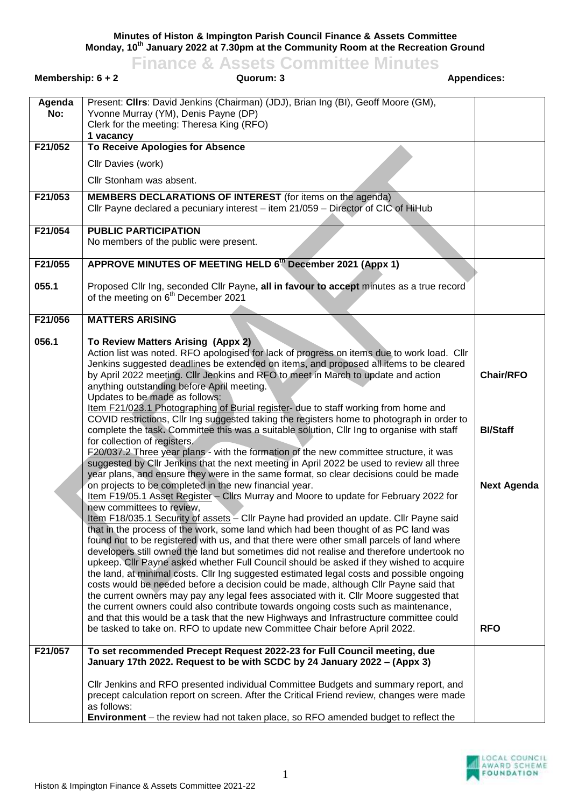**Minutes of Histon & Impington Parish Council Finance & Assets Committee Monday, 10th January 2022 at 7.30pm at the Community Room at the Recreation Ground**

**Finance & Assets Committee Minutes Membership: 6 + 2 Cuorum: 3 Cuorum: 3 Appendices: Appendices: Appendices: Agenda No:** Present: **Cllrs**: David Jenkins (Chairman) (JDJ), Brian Ing (BI), Geoff Moore (GM), Yvonne Murray (YM), Denis Payne (DP) Clerk for the meeting: Theresa King (RFO) **1 vacancy F21/052 To Receive Apologies for Absence** Cllr Davies (work) Cllr Stonham was absent. **F21/053 MEMBERS DECLARATIONS OF INTEREST** (for items on the agenda) Cllr Payne declared a pecuniary interest – item 21/059 – Director of CIC of HiHub **F21/054 PUBLIC PARTICIPATION** No members of the public were present. **F21/055 055.1 APPROVE MINUTES OF MEETING HELD 6 th December 2021 (Appx 1)** Proposed Cllr Ing, seconded Cllr Payne**, all in favour to accept** minutes as a true record of the meeting on 6<sup>th</sup> December 2021 **F21/056 056.1 MATTERS ARISING To Review Matters Arising (Appx 2)** Action list was noted. RFO apologised for lack of progress on items due to work load. Cllr Jenkins suggested deadlines be extended on items, and proposed all items to be cleared by April 2022 meeting. Cllr Jenkins and RFO to meet in March to update and action anything outstanding before April meeting. Updates to be made as follows: Item F21/023.1 Photographing of Burial register- due to staff working from home and COVID restrictions, Cllr Ing suggested taking the registers home to photograph in order to complete the task**.** Committee this was a suitable solution, Cllr Ing to organise with staff for collection of registers. F20/037.2 Three year plans - with the formation of the new committee structure, it was suggested by Cllr Jenkins that the next meeting in April 2022 be used to review all three year plans, and ensure they were in the same format, so clear decisions could be made on projects to be completed in the new financial year. **Chair/RFO BI/Staff Next Agenda**

Item F19/05.1 Asset Register – Cllrs Murray and Moore to update for February 2022 for

Item F18/035.1 Security of assets – Cllr Payne had provided an update. Cllr Payne said that in the process of the work, some land which had been thought of as PC land was found not to be registered with us, and that there were other small parcels of land where developers still owned the land but sometimes did not realise and therefore undertook no upkeep. Cllr Payne asked whether Full Council should be asked if they wished to acquire the land, at minimal costs. Cllr Ing suggested estimated legal costs and possible ongoing costs would be needed before a decision could be made, although Cllr Payne said that the current owners may pay any legal fees associated with it. Cllr Moore suggested that the current owners could also contribute towards ongoing costs such as maintenance, and that this would be a task that the new Highways and Infrastructure committee could

be tasked to take on. RFO to update new Committee Chair before April 2022.

**January 17th 2022. Request to be with SCDC by 24 January 2022 – (Appx 3)** 

Cllr Jenkins and RFO presented individual Committee Budgets and summary report, and precept calculation report on screen. After the Critical Friend review, changes were made

**Environment** – the review had not taken place, so RFO amended budget to reflect the

**F21/057 To set recommended Precept Request 2022-23 for Full Council meeting, due**



**RFO**

as follows:

new committees to review,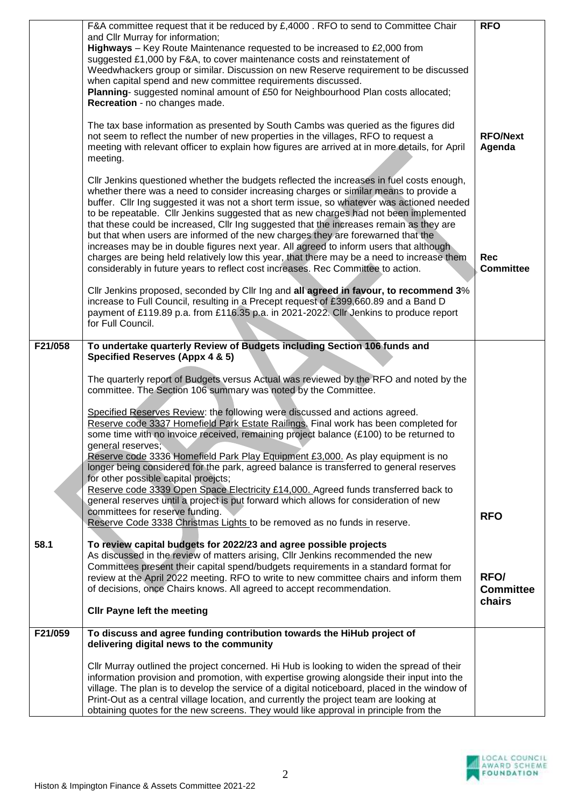|         | F&A committee request that it be reduced by £,4000 . RFO to send to Committee Chair<br>and Cllr Murray for information;<br><b>Highways</b> – Key Route Maintenance requested to be increased to £2,000 from<br>suggested £1,000 by F&A, to cover maintenance costs and reinstatement of<br>Weedwhackers group or similar. Discussion on new Reserve requirement to be discussed<br>when capital spend and new committee requirements discussed.<br>Planning- suggested nominal amount of £50 for Neighbourhood Plan costs allocated;<br>Recreation - no changes made.                                                                                                                                                                                                                                                               | <b>RFO</b>                     |
|---------|-------------------------------------------------------------------------------------------------------------------------------------------------------------------------------------------------------------------------------------------------------------------------------------------------------------------------------------------------------------------------------------------------------------------------------------------------------------------------------------------------------------------------------------------------------------------------------------------------------------------------------------------------------------------------------------------------------------------------------------------------------------------------------------------------------------------------------------|--------------------------------|
|         | The tax base information as presented by South Cambs was queried as the figures did<br>not seem to reflect the number of new properties in the villages, RFO to request a<br>meeting with relevant officer to explain how figures are arrived at in more details, for April<br>meeting.                                                                                                                                                                                                                                                                                                                                                                                                                                                                                                                                             | <b>RFO/Next</b><br>Agenda      |
|         | CIIr Jenkins questioned whether the budgets reflected the increases in fuel costs enough,<br>whether there was a need to consider increasing charges or similar means to provide a<br>buffer. Cllr Ing suggested it was not a short term issue, so whatever was actioned needed<br>to be repeatable. Cllr Jenkins suggested that as new charges had not been implemented<br>that these could be increased, Cllr Ing suggested that the increases remain as they are<br>but that when users are informed of the new charges they are forewarned that the<br>increases may be in double figures next year. All agreed to inform users that although<br>charges are being held relatively low this year, that there may be a need to increase them<br>considerably in future years to reflect cost increases. Rec Committee to action. | <b>Rec</b><br><b>Committee</b> |
|         | Cllr Jenkins proposed, seconded by Cllr Ing and all agreed in favour, to recommend 3%<br>increase to Full Council, resulting in a Precept request of £399,660.89 and a Band D<br>payment of £119.89 p.a. from £116.35 p.a. in 2021-2022. Cllr Jenkins to produce report<br>for Full Council.                                                                                                                                                                                                                                                                                                                                                                                                                                                                                                                                        |                                |
| F21/058 | To undertake quarterly Review of Budgets including Section 106 funds and<br>Specified Reserves (Appx 4 & 5)                                                                                                                                                                                                                                                                                                                                                                                                                                                                                                                                                                                                                                                                                                                         |                                |
|         | The quarterly report of Budgets versus Actual was reviewed by the RFO and noted by the<br>committee. The Section 106 summary was noted by the Committee.                                                                                                                                                                                                                                                                                                                                                                                                                                                                                                                                                                                                                                                                            |                                |
|         | Specified Reserves Review: the following were discussed and actions agreed.<br>Reserve code 3337 Homefield Park Estate Railings. Final work has been completed for<br>some time with no invoice received, remaining project balance (£100) to be returned to<br>general reserves;                                                                                                                                                                                                                                                                                                                                                                                                                                                                                                                                                   |                                |
|         | Reserve code 3336 Homefield Park Play Equipment £3,000. As play equipment is no<br>longer being considered for the park, agreed balance is transferred to general reserves<br>for other possible capital proejcts;<br>Reserve code 3339 Open Space Electricity £14,000. Agreed funds transferred back to                                                                                                                                                                                                                                                                                                                                                                                                                                                                                                                            |                                |
|         | general reserves until a project is put forward which allows for consideration of new<br>committees for reserve funding.<br>Reserve Code 3338 Christmas Lights to be removed as no funds in reserve.                                                                                                                                                                                                                                                                                                                                                                                                                                                                                                                                                                                                                                | <b>RFO</b>                     |
| 58.1    | To review capital budgets for 2022/23 and agree possible projects<br>As discussed in the review of matters arising, Cllr Jenkins recommended the new<br>Committees present their capital spend/budgets requirements in a standard format for<br>review at the April 2022 meeting. RFO to write to new committee chairs and inform them<br>of decisions, once Chairs knows. All agreed to accept recommendation.                                                                                                                                                                                                                                                                                                                                                                                                                     | RFO/<br><b>Committee</b>       |
|         | <b>Cllr Payne left the meeting</b>                                                                                                                                                                                                                                                                                                                                                                                                                                                                                                                                                                                                                                                                                                                                                                                                  | chairs                         |
| F21/059 | To discuss and agree funding contribution towards the HiHub project of<br>delivering digital news to the community                                                                                                                                                                                                                                                                                                                                                                                                                                                                                                                                                                                                                                                                                                                  |                                |
|         | Cllr Murray outlined the project concerned. Hi Hub is looking to widen the spread of their<br>information provision and promotion, with expertise growing alongside their input into the<br>village. The plan is to develop the service of a digital noticeboard, placed in the window of<br>Print-Out as a central village location, and currently the project team are looking at<br>obtaining quotes for the new screens. They would like approval in principle from the                                                                                                                                                                                                                                                                                                                                                         |                                |